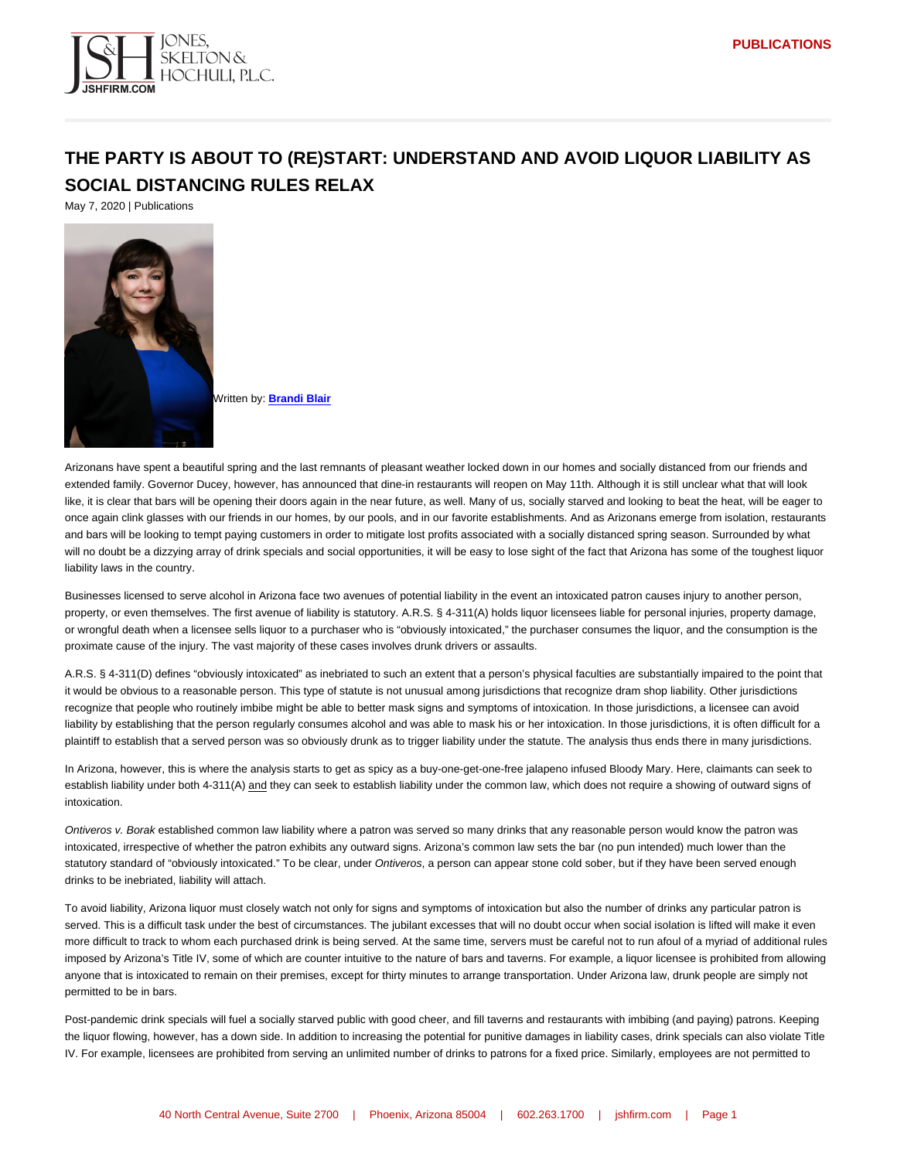## THE PARTY IS ABOUT TO (RE)START: UNDERSTAND AND AVOID LIQUOR LIABILITY AS SOCIAL DISTANCING RULES RELAX

May 7, 2020 | Publications

[W](https://www.jshfirm.com/professionals/bblair/)ritten by: [Brandi Blair](https://www.jshfirm.com/professionals/bblair/)

Arizonans have spent a beautiful spring and the last remnants of pleasant weather locked down in our homes and socially distanced from our friends and extended family. Governor Ducey, however, has announced that dine-in restaurants will reopen on May 11th. Although it is still unclear what that will look like, it is clear that bars will be opening their doors again in the near future, as well. Many of us, socially starved and looking to beat the heat, will be eager to once again clink glasses with our friends in our homes, by our pools, and in our favorite establishments. And as Arizonans emerge from isolation, restaurants and bars will be looking to tempt paying customers in order to mitigate lost profits associated with a socially distanced spring season. Surrounded by what will no doubt be a dizzying array of drink specials and social opportunities, it will be easy to lose sight of the fact that Arizona has some of the toughest liquor liability laws in the country.

Businesses licensed to serve alcohol in Arizona face two avenues of potential liability in the event an intoxicated patron causes injury to another person, property, or even themselves. The first avenue of liability is statutory. A.R.S. § 4-311(A) holds liquor licensees liable for personal injuries, property damage, or wrongful death when a licensee sells liquor to a purchaser who is "obviously intoxicated," the purchaser consumes the liquor, and the consumption is the proximate cause of the injury. The vast majority of these cases involves drunk drivers or assaults.

A.R.S. § 4-311(D) defines "obviously intoxicated" as inebriated to such an extent that a person's physical faculties are substantially impaired to the point that it would be obvious to a reasonable person. This type of statute is not unusual among jurisdictions that recognize dram shop liability. Other jurisdictions recognize that people who routinely imbibe might be able to better mask signs and symptoms of intoxication. In those jurisdictions, a licensee can avoid liability by establishing that the person regularly consumes alcohol and was able to mask his or her intoxication. In those jurisdictions, it is often difficult for a plaintiff to establish that a served person was so obviously drunk as to trigger liability under the statute. The analysis thus ends there in many jurisdictions.

In Arizona, however, this is where the analysis starts to get as spicy as a buy-one-get-one-free jalapeno infused Bloody Mary. Here, claimants can seek to establish liability under both 4-311(A) and they can seek to establish liability under the common law, which does not require a showing of outward signs of intoxication.

Ontiveros v. Borak established common law liability where a patron was served so many drinks that any reasonable person would know the patron was intoxicated, irrespective of whether the patron exhibits any outward signs. Arizona's common law sets the bar (no pun intended) much lower than the statutory standard of "obviously intoxicated." To be clear, under Ontiveros, a person can appear stone cold sober, but if they have been served enough drinks to be inebriated, liability will attach.

To avoid liability, Arizona liquor must closely watch not only for signs and symptoms of intoxication but also the number of drinks any particular patron is served. This is a difficult task under the best of circumstances. The jubilant excesses that will no doubt occur when social isolation is lifted will make it even more difficult to track to whom each purchased drink is being served. At the same time, servers must be careful not to run afoul of a myriad of additional rules imposed by Arizona's Title IV, some of which are counter intuitive to the nature of bars and taverns. For example, a liquor licensee is prohibited from allowing anyone that is intoxicated to remain on their premises, except for thirty minutes to arrange transportation. Under Arizona law, drunk people are simply not permitted to be in bars.

Post-pandemic drink specials will fuel a socially starved public with good cheer, and fill taverns and restaurants with imbibing (and paying) patrons. Keeping the liquor flowing, however, has a down side. In addition to increasing the potential for punitive damages in liability cases, drink specials can also violate Title IV. For example, licensees are prohibited from serving an unlimited number of drinks to patrons for a fixed price. Similarly, employees are not permitted to